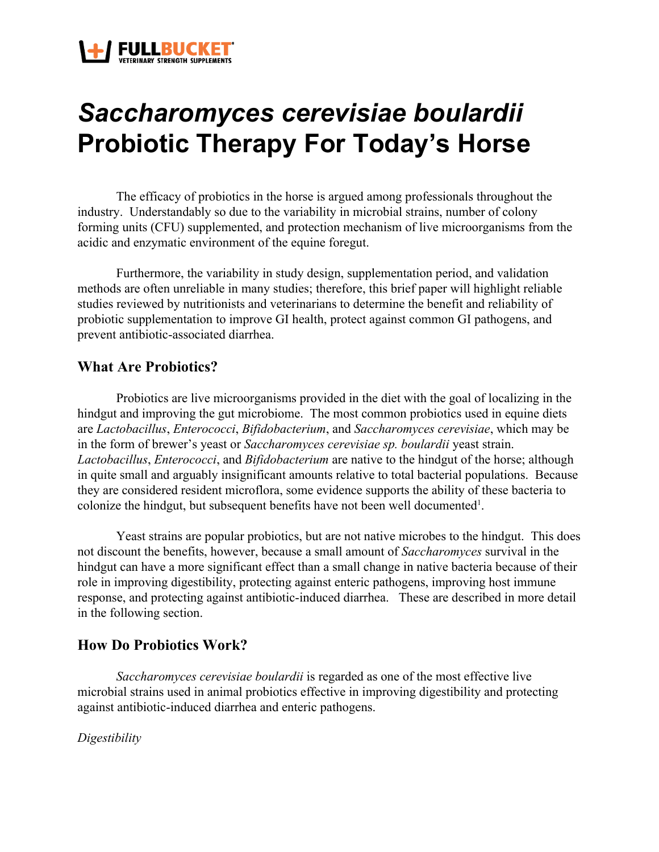

# *Saccharomyces cerevisiae boulardii* **Probiotic Therapy For Today's Horse**

The efficacy of probiotics in the horse is argued among professionals throughout the industry. Understandably so due to the variability in microbial strains, number of colony forming units (CFU) supplemented, and protection mechanism of live microorganisms from the acidic and enzymatic environment of the equine foregut.

Furthermore, the variability in study design, supplementation period, and validation methods are often unreliable in many studies; therefore, this brief paper will highlight reliable studies reviewed by nutritionists and veterinarians to determine the benefit and reliability of probiotic supplementation to improve GI health, protect against common GI pathogens, and prevent antibiotic-associated diarrhea.

## **What Are Probiotics?**

Probiotics are live microorganisms provided in the diet with the goal of localizing in the hindgut and improving the gut microbiome. The most common probiotics used in equine diets are *Lactobacillus*, *Enterococci*, *Bifidobacterium*, and *Saccharomyces cerevisiae*, which may be in the form of brewer's yeast or *Saccharomyces cerevisiae sp. boulardii* yeast strain. *Lactobacillus*, *Enterococci*, and *Bifidobacterium* are native to the hindgut of the horse; although in quite small and arguably insignificant amounts relative to total bacterial populations. Because they are considered resident microflora, some evidence supports the ability of these bacteria to colonize the hindgut, but subsequent benefits have not been well documented<sup>1</sup>.

Yeast strains are popular probiotics, but are not native microbes to the hindgut. This does not discount the benefits, however, because a small amount of *Saccharomyces* survival in the hindgut can have a more significant effect than a small change in native bacteria because of their role in improving digestibility, protecting against enteric pathogens, improving host immune response, and protecting against antibiotic-induced diarrhea. These are described in more detail in the following section.

# **How Do Probiotics Work?**

*Saccharomyces cerevisiae boulardii* is regarded as one of the most effective live microbial strains used in animal probiotics effective in improving digestibility and protecting against antibiotic-induced diarrhea and enteric pathogens.

*Digestibility*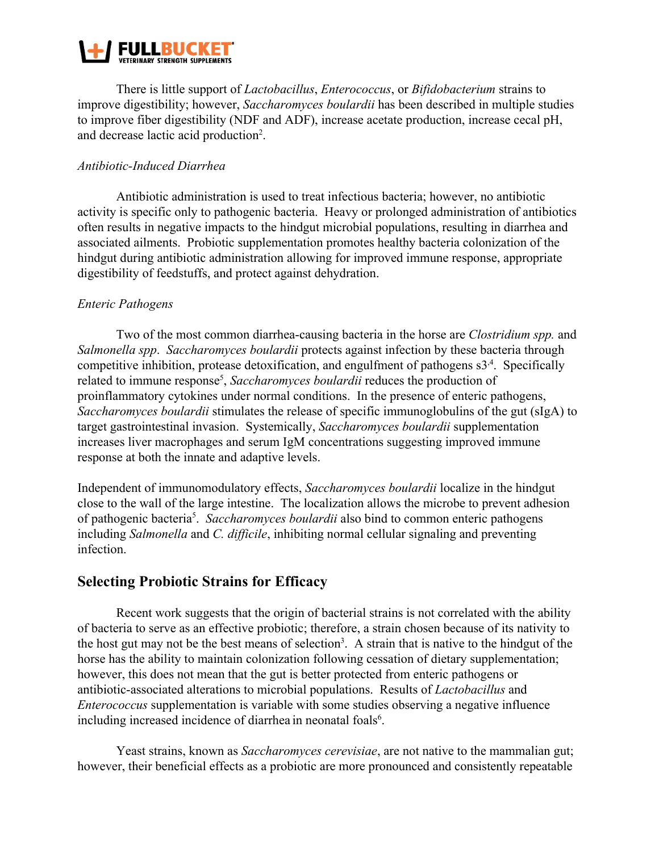

There is little support of *Lactobacillus*, *Enterococcus*, or *Bifidobacterium* strains to improve digestibility; however, *Saccharomyces boulardii* has been described in multiple studies to improve fiber digestibility (NDF and ADF), increase acetate production, increase cecal pH, and decrease lactic acid production<sup>2</sup>.

#### *Antibiotic-Induced Diarrhea*

Antibiotic administration is used to treat infectious bacteria; however, no antibiotic activity is specific only to pathogenic bacteria. Heavy or prolonged administration of antibiotics often results in negative impacts to the hindgut microbial populations, resulting in diarrhea and associated ailments. Probiotic supplementation promotes healthy bacteria colonization of the hindgut during antibiotic administration allowing for improved immune response, appropriate digestibility of feedstuffs, and protect against dehydration.

#### *Enteric Pathogens*

Two of the most common diarrhea-causing bacteria in the horse are *Clostridium spp.* and *Salmonella spp*. *Saccharomyces boulardii* protects against infection by these bacteria through competitive inhibition, protease detoxification, and engulfment of pathogens  $s3<sup>4</sup>$ . Specifically related to immune response<sup>5</sup>, *Saccharomyces boulardii* reduces the production of proinflammatory cytokines under normal conditions. In the presence of enteric pathogens, *Saccharomyces boulardii* stimulates the release of specific immunoglobulins of the gut (sIgA) to target gastrointestinal invasion. Systemically, *Saccharomyces boulardii* supplementation increases liver macrophages and serum IgM concentrations suggesting improved immune response at both the innate and adaptive levels.

Independent of immunomodulatory effects, *Saccharomyces boulardii* localize in the hindgut close to the wall of the large intestine. The localization allows the microbe to prevent adhesion of pathogenic bacteria<sup>5</sup>. Saccharomyces boulardii also bind to common enteric pathogens including *Salmonella* and *C. difficile*, inhibiting normal cellular signaling and preventing infection.

# **Selecting Probiotic Strains for Efficacy**

Recent work suggests that the origin of bacterial strains is not correlated with the ability of bacteria to serve as an effective probiotic; therefore, a strain chosen because of its nativity to the host gut may not be the best means of selection<sup>3</sup>. A strain that is native to the hindgut of the horse has the ability to maintain colonization following cessation of dietary supplementation; however, this does not mean that the gut is better protected from enteric pathogens or antibiotic-associated alterations to microbial populations. Results of *Lactobacillus* and *Enterococcus* supplementation is variable with some studies observing a negative influence including increased incidence of diarrhea in neonatal foals<sup>6</sup>.

Yeast strains, known as *Saccharomyces cerevisiae*, are not native to the mammalian gut; however, their beneficial effects as a probiotic are more pronounced and consistently repeatable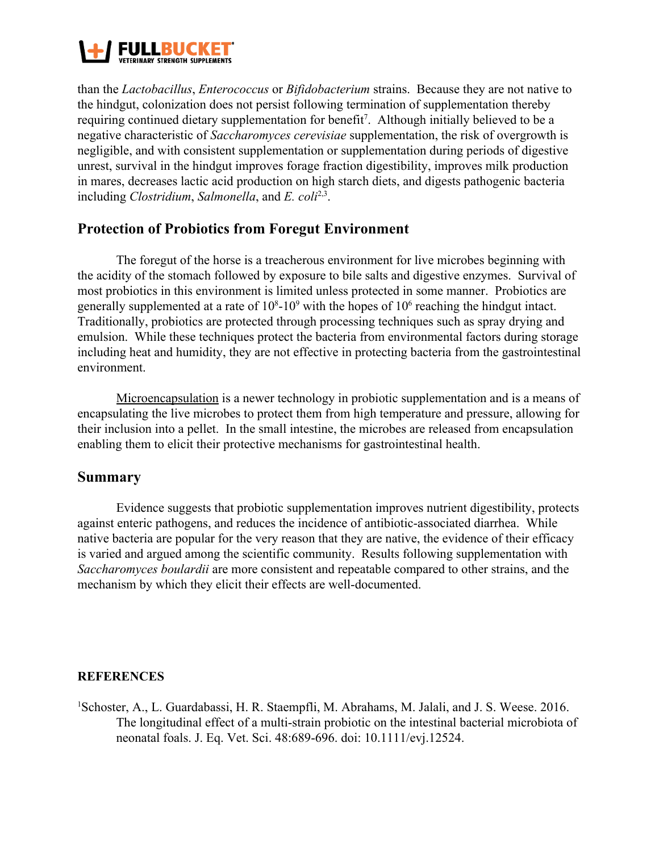

than the *Lactobacillus*, *Enterococcus* or *Bifidobacterium* strains. Because they are not native to the hindgut, colonization does not persist following termination of supplementation thereby requiring continued dietary supplementation for benefit<sup>7</sup>. Although initially believed to be a negative characteristic of *Saccharomyces cerevisiae* supplementation, the risk of overgrowth is negligible, and with consistent supplementation or supplementation during periods of digestive unrest, survival in the hindgut improves forage fraction digestibility, improves milk production in mares, decreases lactic acid production on high starch diets, and digests pathogenic bacteria including *Clostridium*, *Salmonella*, and *E. coli*<sup>2,3</sup>.

# **Protection of Probiotics from Foregut Environment**

The foregut of the horse is a treacherous environment for live microbes beginning with the acidity of the stomach followed by exposure to bile salts and digestive enzymes. Survival of most probiotics in this environment is limited unless protected in some manner. Probiotics are generally supplemented at a rate of  $10^8$ -10<sup>9</sup> with the hopes of  $10^6$  reaching the hindgut intact. Traditionally, probiotics are protected through processing techniques such as spray drying and emulsion. While these techniques protect the bacteria from environmental factors during storage including heat and humidity, they are not effective in protecting bacteria from the gastrointestinal environment.

Microencapsulation is a newer technology in probiotic supplementation and is a means of encapsulating the live microbes to protect them from high temperature and pressure, allowing for their inclusion into a pellet. In the small intestine, the microbes are released from encapsulation enabling them to elicit their protective mechanisms for gastrointestinal health.

#### **Summary**

Evidence suggests that probiotic supplementation improves nutrient digestibility, protects against enteric pathogens, and reduces the incidence of antibiotic-associated diarrhea. While native bacteria are popular for the very reason that they are native, the evidence of their efficacy is varied and argued among the scientific community. Results following supplementation with *Saccharomyces boulardii* are more consistent and repeatable compared to other strains, and the mechanism by which they elicit their effects are well-documented.

#### **REFERENCES**

<sup>1</sup>Schoster, A., L. Guardabassi, H. R. Staempfli, M. Abrahams, M. Jalali, and J. S. Weese. 2016. The longitudinal effect of a multi-strain probiotic on the intestinal bacterial microbiota of neonatal foals. J. Eq. Vet. Sci. 48:689-696. doi: 10.1111/evj.12524.